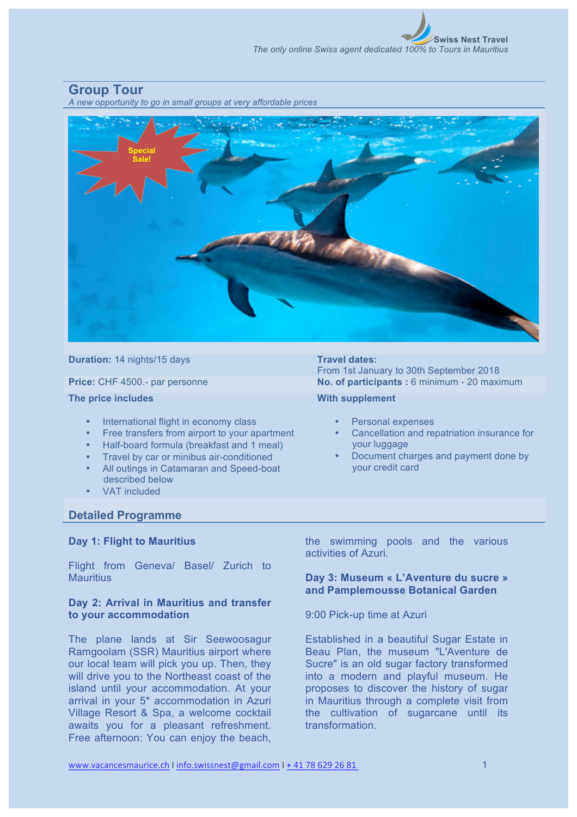## **Group Tour**

*A new opportunity to go in small groups at very affordable prices*



#### **Duration:** 14 nights/15 days **Travel dates:**

**The price includes**

- International flight in economy class
- Free transfers from airport to your apartment
- Half-board formula (breakfast and 1 meal)
- Travel by car or minibus air-conditioned
- All outings in Catamaran and Speed-boat described below
- VAT included

# From 1st January to 30th September 2018 **Price:** CHF 4500.- par personne **No. of participants :** 6 minimum - 20 maximum

## **With supplement**

- Personal expenses
- Cancellation and repatriation insurance for your luggage
- Document charges and payment done by your credit card

## **Detailed Programme**

## **Day 1: Flight to Mauritius**

Flight from Geneva/ Basel/ Zurich to **Mauritius** 

## **Day 2: Arrival in Mauritius and transfer to your accommodation**

The plane lands at Sir Seewoosagur Ramgoolam (SSR) Mauritius airport where our local team will pick you up. Then, they will drive you to the Northeast coast of the island until your accommodation. At your arrival in your 5\* accommodation in Azuri Village Resort & Spa, a welcome cocktail awaits you for a pleasant refreshment. Free afternoon: You can enjoy the beach,

the swimming pools and the various activities of Azuri.

## **Day 3: Museum « L'Aventure du sucre » and Pamplemousse Botanical Garden**

## 9:00 Pick-up time at Azuri

Established in a beautiful Sugar Estate in Beau Plan, the museum "L'Aventure de Sucre" is an old sugar factory transformed into a modern and playful museum. He proposes to discover the history of sugar in Mauritius through a complete visit from the cultivation of sugarcane until its transformation.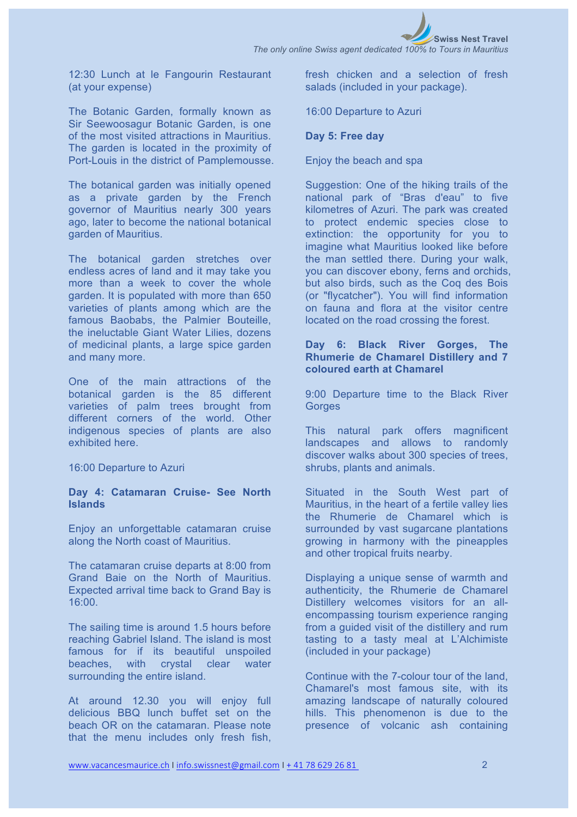

*The only online Swiss agent dedicated 100% to Tours in Mauritius*

12:30 Lunch at le Fangourin Restaurant (at your expense)

The Botanic Garden, formally known as Sir Seewoosagur Botanic Garden, is one of the most visited attractions in Mauritius. The garden is located in the proximity of Port-Louis in the district of Pamplemousse.

The botanical garden was initially opened as a private garden by the French governor of Mauritius nearly 300 years ago, later to become the national botanical garden of Mauritius.

The botanical garden stretches over endless acres of land and it may take you more than a week to cover the whole garden. It is populated with more than 650 varieties of plants among which are the famous Baobabs, the Palmier Bouteille, the ineluctable Giant Water Lilies, dozens of medicinal plants, a large spice garden and many more.

One of the main attractions of the botanical garden is the 85 different varieties of palm trees brought from different corners of the world. Other indigenous species of plants are also exhibited here.

16:00 Departure to Azuri

## **Day 4: Catamaran Cruise- See North Islands**

Enjoy an unforgettable catamaran cruise along the North coast of Mauritius.

The catamaran cruise departs at 8:00 from Grand Baie on the North of Mauritius. Expected arrival time back to Grand Bay is 16:00.

The sailing time is around 1.5 hours before reaching Gabriel Island. The island is most famous for if its beautiful unspoiled beaches, with crystal clear water surrounding the entire island.

At around 12.30 you will enjoy full delicious BBQ lunch buffet set on the beach OR on the catamaran. Please note that the menu includes only fresh fish, fresh chicken and a selection of fresh salads (included in your package).

16:00 Departure to Azuri

## **Day 5: Free day**

Enjoy the beach and spa

Suggestion: One of the hiking trails of the national park of "Bras d'eau" to five kilometres of Azuri. The park was created to protect endemic species close to extinction: the opportunity for you to imagine what Mauritius looked like before the man settled there. During your walk, you can discover ebony, ferns and orchids, but also birds, such as the Coq des Bois (or "flycatcher"). You will find information on fauna and flora at the visitor centre located on the road crossing the forest.

## **Day 6: Black River Gorges, The Rhumerie de Chamarel Distillery and 7 coloured earth at Chamarel**

9:00 Departure time to the Black River **Gorges** 

This natural park offers magnificent landscapes and allows to randomly discover walks about 300 species of trees, shrubs, plants and animals.

Situated in the South West part of Mauritius, in the heart of a fertile valley lies the Rhumerie de Chamarel which is surrounded by vast sugarcane plantations growing in harmony with the pineapples and other tropical fruits nearby.

Displaying a unique sense of warmth and authenticity, the Rhumerie de Chamarel Distillery welcomes visitors for an allencompassing tourism experience ranging from a guided visit of the distillery and rum tasting to a tasty meal at L'Alchimiste (included in your package)

Continue with the 7-colour tour of the land, Chamarel's most famous site, with its amazing landscape of naturally coloured hills. This phenomenon is due to the presence of volcanic ash containing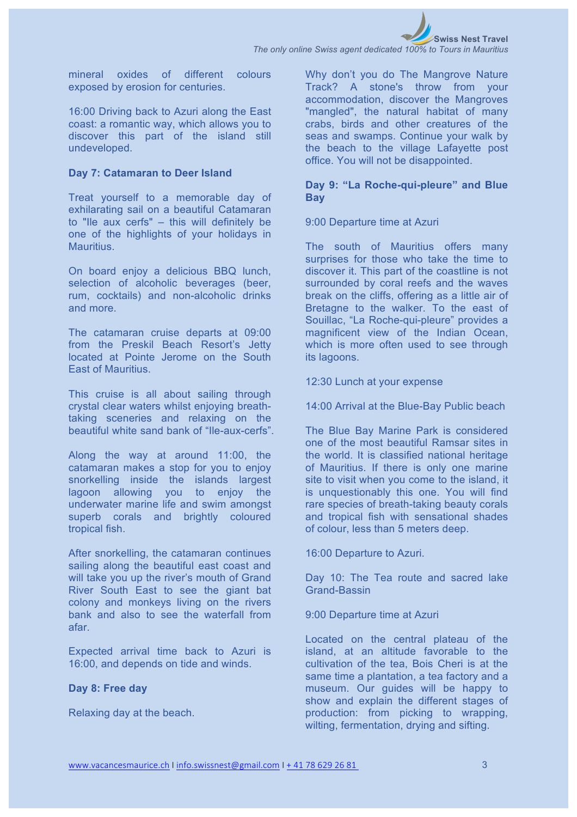mineral oxides of different colours exposed by erosion for centuries.

16:00 Driving back to Azuri along the East coast: a romantic way, which allows you to discover this part of the island still undeveloped.

#### **Day 7: Catamaran to Deer Island**

Treat yourself to a memorable day of exhilarating sail on a beautiful Catamaran to "Ile aux cerfs" – this will definitely be one of the highlights of your holidays in **Mauritius** 

On board enjoy a delicious BBQ lunch, selection of alcoholic beverages (beer, rum, cocktails) and non-alcoholic drinks and more.

The catamaran cruise departs at 09:00 from the Preskil Beach Resort's Jetty located at Pointe Jerome on the South East of Mauritius.

This cruise is all about sailing through crystal clear waters whilst enjoying breathtaking sceneries and relaxing on the beautiful white sand bank of "Ile-aux-cerfs".

Along the way at around 11:00, the catamaran makes a stop for you to enjoy snorkelling inside the islands largest lagoon allowing you to enjoy the underwater marine life and swim amongst superb corals and brightly coloured tropical fish.

After snorkelling, the catamaran continues sailing along the beautiful east coast and will take you up the river's mouth of Grand River South East to see the giant bat colony and monkeys living on the rivers bank and also to see the waterfall from afar.

Expected arrival time back to Azuri is 16:00, and depends on tide and winds.

#### **Day 8: Free day**

Relaxing day at the beach.

Why don't you do The Mangrove Nature Track? A stone's throw from your accommodation, discover the Mangroves "mangled", the natural habitat of many crabs, birds and other creatures of the seas and swamps. Continue your walk by the beach to the village Lafayette post office. You will not be disappointed.

## **Day 9: "La Roche-qui-pleure" and Blue Bay**

9:00 Departure time at Azuri

The south of Mauritius offers many surprises for those who take the time to discover it. This part of the coastline is not surrounded by coral reefs and the waves break on the cliffs, offering as a little air of Bretagne to the walker. To the east of Souillac, "La Roche-qui-pleure" provides a magnificent view of the Indian Ocean, which is more often used to see through its lagoons.

12:30 Lunch at your expense

14:00 Arrival at the Blue-Bay Public beach

The Blue Bay Marine Park is considered one of the most beautiful Ramsar sites in the world. It is classified national heritage of Mauritius. If there is only one marine site to visit when you come to the island, it is unquestionably this one. You will find rare species of breath-taking beauty corals and tropical fish with sensational shades of colour, less than 5 meters deep.

16:00 Departure to Azuri.

Day 10: The Tea route and sacred lake Grand-Bassin

#### 9:00 Departure time at Azuri

Located on the central plateau of the island, at an altitude favorable to the cultivation of the tea, Bois Cheri is at the same time a plantation, a tea factory and a museum. Our guides will be happy to show and explain the different stages of production: from picking to wrapping, wilting, fermentation, drying and sifting.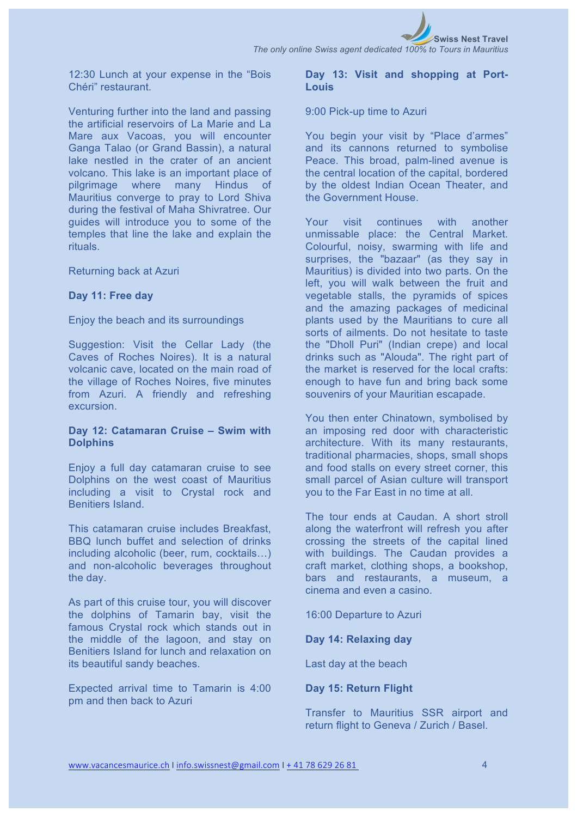

12:30 Lunch at your expense in the "Bois Chéri" restaurant.

Venturing further into the land and passing the artificial reservoirs of La Marie and La Mare aux Vacoas, you will encounter Ganga Talao (or Grand Bassin), a natural lake nestled in the crater of an ancient volcano. This lake is an important place of pilgrimage where many Hindus of Mauritius converge to pray to Lord Shiva during the festival of Maha Shivratree. Our guides will introduce you to some of the temples that line the lake and explain the rituals.

#### Returning back at Azuri

#### **Day 11: Free day**

#### Enjoy the beach and its surroundings

Suggestion: Visit the Cellar Lady (the Caves of Roches Noires). It is a natural volcanic cave, located on the main road of the village of Roches Noires, five minutes from Azuri. A friendly and refreshing excursion.

#### **Day 12: Catamaran Cruise – Swim with Dolphins**

Enjoy a full day catamaran cruise to see Dolphins on the west coast of Mauritius including a visit to Crystal rock and Benitiers Island.

This catamaran cruise includes Breakfast, BBQ lunch buffet and selection of drinks including alcoholic (beer, rum, cocktails…) and non-alcoholic beverages throughout the day.

As part of this cruise tour, you will discover the dolphins of Tamarin bay, visit the famous Crystal rock which stands out in the middle of the lagoon, and stay on Benitiers Island for lunch and relaxation on its beautiful sandy beaches.

Expected arrival time to Tamarin is 4:00 pm and then back to Azuri

## **Day 13: Visit and shopping at Port-Louis**

#### 9:00 Pick-up time to Azuri

You begin your visit by "Place d'armes" and its cannons returned to symbolise Peace. This broad, palm-lined avenue is the central location of the capital, bordered by the oldest Indian Ocean Theater, and the Government House.

Your visit continues with another unmissable place: the Central Market. Colourful, noisy, swarming with life and surprises, the "bazaar" (as they say in Mauritius) is divided into two parts. On the left, you will walk between the fruit and vegetable stalls, the pyramids of spices and the amazing packages of medicinal plants used by the Mauritians to cure all sorts of ailments. Do not hesitate to taste the "Dholl Puri" (Indian crepe) and local drinks such as "Alouda". The right part of the market is reserved for the local crafts: enough to have fun and bring back some souvenirs of your Mauritian escapade.

You then enter Chinatown, symbolised by an imposing red door with characteristic architecture. With its many restaurants, traditional pharmacies, shops, small shops and food stalls on every street corner, this small parcel of Asian culture will transport you to the Far East in no time at all.

The tour ends at Caudan. A short stroll along the waterfront will refresh you after crossing the streets of the capital lined with buildings. The Caudan provides a craft market, clothing shops, a bookshop, bars and restaurants, a museum, a cinema and even a casino.

16:00 Departure to Azuri

#### **Day 14: Relaxing day**

Last day at the beach

## **Day 15: Return Flight**

Transfer to Mauritius SSR airport and return flight to Geneva / Zurich / Basel.